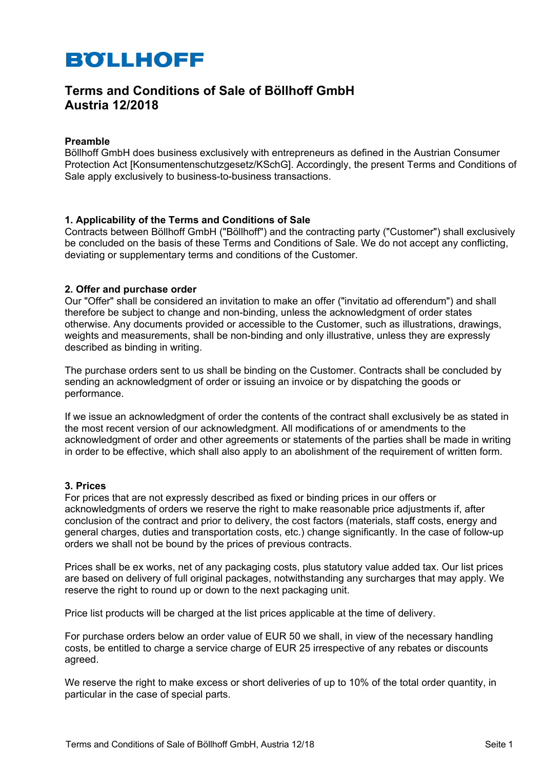# **Terms and Conditions of Sale of Böllhoff GmbH Austria 12/2018**

### **Preamble**

Böllhoff GmbH does business exclusively with entrepreneurs as defined in the Austrian Consumer Protection Act [Konsumentenschutzgesetz/KSchG]. Accordingly, the present Terms and Conditions of Sale apply exclusively to business-to-business transactions.

# **1. Applicability of the Terms and Conditions of Sale**

Contracts between Böllhoff GmbH ("Böllhoff") and the contracting party ("Customer") shall exclusively be concluded on the basis of these Terms and Conditions of Sale. We do not accept any conflicting, deviating or supplementary terms and conditions of the Customer.

#### **2. Offer and purchase order**

Our "Offer" shall be considered an invitation to make an offer ("invitatio ad offerendum") and shall therefore be subject to change and non-binding, unless the acknowledgment of order states otherwise. Any documents provided or accessible to the Customer, such as illustrations, drawings, weights and measurements, shall be non-binding and only illustrative, unless they are expressly described as binding in writing.

The purchase orders sent to us shall be binding on the Customer. Contracts shall be concluded by sending an acknowledgment of order or issuing an invoice or by dispatching the goods or performance.

If we issue an acknowledgment of order the contents of the contract shall exclusively be as stated in the most recent version of our acknowledgment. All modifications of or amendments to the acknowledgment of order and other agreements or statements of the parties shall be made in writing in order to be effective, which shall also apply to an abolishment of the requirement of written form.

#### **3. Prices**

For prices that are not expressly described as fixed or binding prices in our offers or acknowledgments of orders we reserve the right to make reasonable price adjustments if, after conclusion of the contract and prior to delivery, the cost factors (materials, staff costs, energy and general charges, duties and transportation costs, etc.) change significantly. In the case of follow-up orders we shall not be bound by the prices of previous contracts.

Prices shall be ex works, net of any packaging costs, plus statutory value added tax. Our list prices are based on delivery of full original packages, notwithstanding any surcharges that may apply. We reserve the right to round up or down to the next packaging unit.

Price list products will be charged at the list prices applicable at the time of delivery.

For purchase orders below an order value of EUR 50 we shall, in view of the necessary handling costs, be entitled to charge a service charge of EUR 25 irrespective of any rebates or discounts agreed.

We reserve the right to make excess or short deliveries of up to 10% of the total order quantity, in particular in the case of special parts.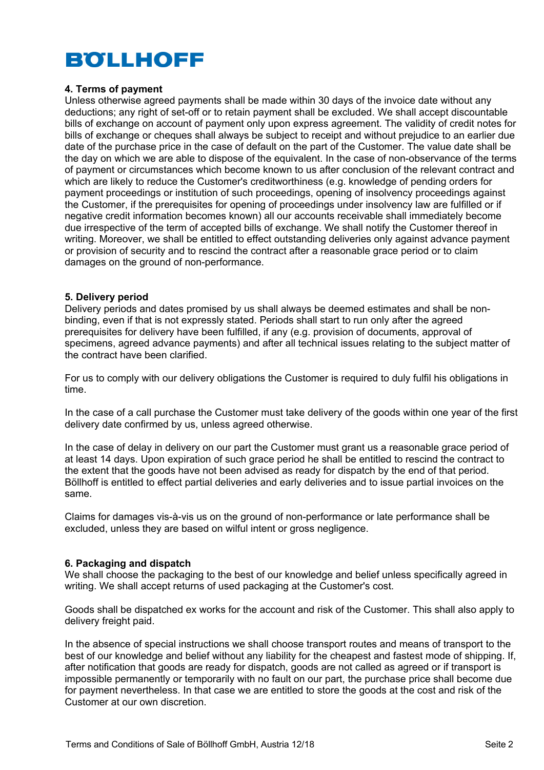# **4. Terms of payment**

Unless otherwise agreed payments shall be made within 30 days of the invoice date without any deductions; any right of set-off or to retain payment shall be excluded. We shall accept discountable bills of exchange on account of payment only upon express agreement. The validity of credit notes for bills of exchange or cheques shall always be subject to receipt and without prejudice to an earlier due date of the purchase price in the case of default on the part of the Customer. The value date shall be the day on which we are able to dispose of the equivalent. In the case of non-observance of the terms of payment or circumstances which become known to us after conclusion of the relevant contract and which are likely to reduce the Customer's creditworthiness (e.g. knowledge of pending orders for payment proceedings or institution of such proceedings, opening of insolvency proceedings against the Customer, if the prerequisites for opening of proceedings under insolvency law are fulfilled or if negative credit information becomes known) all our accounts receivable shall immediately become due irrespective of the term of accepted bills of exchange. We shall notify the Customer thereof in writing. Moreover, we shall be entitled to effect outstanding deliveries only against advance payment or provision of security and to rescind the contract after a reasonable grace period or to claim damages on the ground of non-performance.

# **5. Delivery period**

Delivery periods and dates promised by us shall always be deemed estimates and shall be nonbinding, even if that is not expressly stated. Periods shall start to run only after the agreed prerequisites for delivery have been fulfilled, if any (e.g. provision of documents, approval of specimens, agreed advance payments) and after all technical issues relating to the subject matter of the contract have been clarified.

For us to comply with our delivery obligations the Customer is required to duly fulfil his obligations in time.

In the case of a call purchase the Customer must take delivery of the goods within one year of the first delivery date confirmed by us, unless agreed otherwise.

In the case of delay in delivery on our part the Customer must grant us a reasonable grace period of at least 14 days. Upon expiration of such grace period he shall be entitled to rescind the contract to the extent that the goods have not been advised as ready for dispatch by the end of that period. Böllhoff is entitled to effect partial deliveries and early deliveries and to issue partial invoices on the same.

Claims for damages vis-à-vis us on the ground of non-performance or late performance shall be excluded, unless they are based on wilful intent or gross negligence.

# **6. Packaging and dispatch**

We shall choose the packaging to the best of our knowledge and belief unless specifically agreed in writing. We shall accept returns of used packaging at the Customer's cost.

Goods shall be dispatched ex works for the account and risk of the Customer. This shall also apply to delivery freight paid.

In the absence of special instructions we shall choose transport routes and means of transport to the best of our knowledge and belief without any liability for the cheapest and fastest mode of shipping. If, after notification that goods are ready for dispatch, goods are not called as agreed or if transport is impossible permanently or temporarily with no fault on our part, the purchase price shall become due for payment nevertheless. In that case we are entitled to store the goods at the cost and risk of the Customer at our own discretion.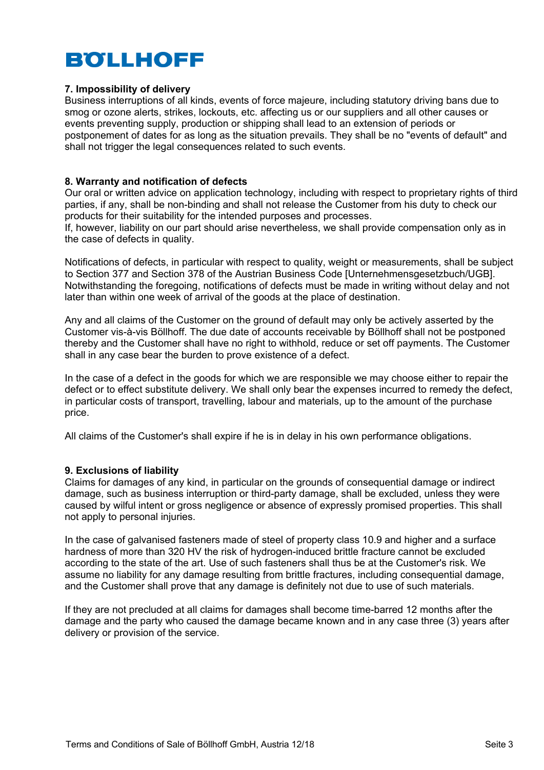# **7. Impossibility of delivery**

Business interruptions of all kinds, events of force majeure, including statutory driving bans due to smog or ozone alerts, strikes, lockouts, etc. affecting us or our suppliers and all other causes or events preventing supply, production or shipping shall lead to an extension of periods or postponement of dates for as long as the situation prevails. They shall be no "events of default" and shall not trigger the legal consequences related to such events.

# **8. Warranty and notification of defects**

Our oral or written advice on application technology, including with respect to proprietary rights of third parties, if any, shall be non-binding and shall not release the Customer from his duty to check our products for their suitability for the intended purposes and processes.

If, however, liability on our part should arise nevertheless, we shall provide compensation only as in the case of defects in quality.

Notifications of defects, in particular with respect to quality, weight or measurements, shall be subject to Section 377 and Section 378 of the Austrian Business Code [Unternehmensgesetzbuch/UGB]. Notwithstanding the foregoing, notifications of defects must be made in writing without delay and not later than within one week of arrival of the goods at the place of destination.

Any and all claims of the Customer on the ground of default may only be actively asserted by the Customer vis-à-vis Böllhoff. The due date of accounts receivable by Böllhoff shall not be postponed thereby and the Customer shall have no right to withhold, reduce or set off payments. The Customer shall in any case bear the burden to prove existence of a defect.

In the case of a defect in the goods for which we are responsible we may choose either to repair the defect or to effect substitute delivery. We shall only bear the expenses incurred to remedy the defect, in particular costs of transport, travelling, labour and materials, up to the amount of the purchase price.

All claims of the Customer's shall expire if he is in delay in his own performance obligations.

# **9. Exclusions of liability**

Claims for damages of any kind, in particular on the grounds of consequential damage or indirect damage, such as business interruption or third-party damage, shall be excluded, unless they were caused by wilful intent or gross negligence or absence of expressly promised properties. This shall not apply to personal injuries.

In the case of galvanised fasteners made of steel of property class 10.9 and higher and a surface hardness of more than 320 HV the risk of hydrogen-induced brittle fracture cannot be excluded according to the state of the art. Use of such fasteners shall thus be at the Customer's risk. We assume no liability for any damage resulting from brittle fractures, including consequential damage, and the Customer shall prove that any damage is definitely not due to use of such materials.

If they are not precluded at all claims for damages shall become time-barred 12 months after the damage and the party who caused the damage became known and in any case three (3) years after delivery or provision of the service.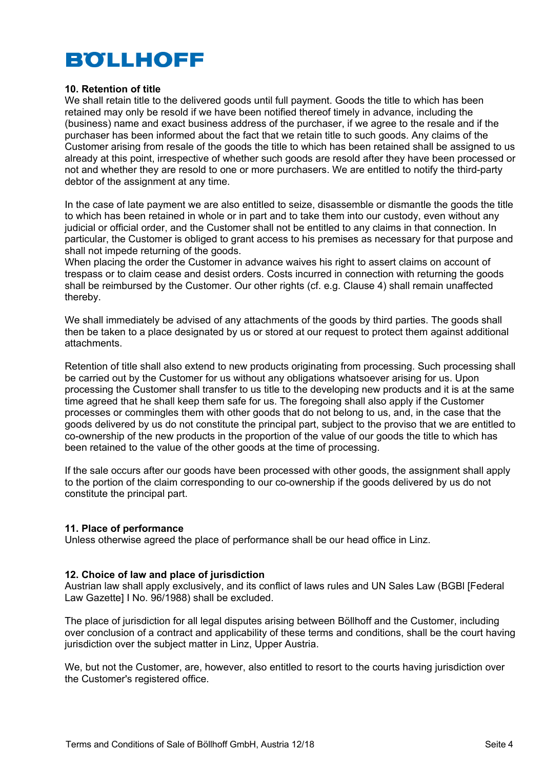# **10. Retention of title**

We shall retain title to the delivered goods until full payment. Goods the title to which has been retained may only be resold if we have been notified thereof timely in advance, including the (business) name and exact business address of the purchaser, if we agree to the resale and if the purchaser has been informed about the fact that we retain title to such goods. Any claims of the Customer arising from resale of the goods the title to which has been retained shall be assigned to us already at this point, irrespective of whether such goods are resold after they have been processed or not and whether they are resold to one or more purchasers. We are entitled to notify the third-party debtor of the assignment at any time.

In the case of late payment we are also entitled to seize, disassemble or dismantle the goods the title to which has been retained in whole or in part and to take them into our custody, even without any judicial or official order, and the Customer shall not be entitled to any claims in that connection. In particular, the Customer is obliged to grant access to his premises as necessary for that purpose and shall not impede returning of the goods.

When placing the order the Customer in advance waives his right to assert claims on account of trespass or to claim cease and desist orders. Costs incurred in connection with returning the goods shall be reimbursed by the Customer. Our other rights (cf. e.g. Clause 4) shall remain unaffected thereby.

We shall immediately be advised of any attachments of the goods by third parties. The goods shall then be taken to a place designated by us or stored at our request to protect them against additional attachments.

Retention of title shall also extend to new products originating from processing. Such processing shall be carried out by the Customer for us without any obligations whatsoever arising for us. Upon processing the Customer shall transfer to us title to the developing new products and it is at the same time agreed that he shall keep them safe for us. The foregoing shall also apply if the Customer processes or commingles them with other goods that do not belong to us, and, in the case that the goods delivered by us do not constitute the principal part, subject to the proviso that we are entitled to co-ownership of the new products in the proportion of the value of our goods the title to which has been retained to the value of the other goods at the time of processing.

If the sale occurs after our goods have been processed with other goods, the assignment shall apply to the portion of the claim corresponding to our co-ownership if the goods delivered by us do not constitute the principal part.

# **11. Place of performance**

Unless otherwise agreed the place of performance shall be our head office in Linz.

#### **12. Choice of law and place of jurisdiction**

Austrian law shall apply exclusively, and its conflict of laws rules and UN Sales Law (BGBl [Federal Law Gazette] I No. 96/1988) shall be excluded.

The place of jurisdiction for all legal disputes arising between Böllhoff and the Customer, including over conclusion of a contract and applicability of these terms and conditions, shall be the court having jurisdiction over the subject matter in Linz, Upper Austria.

We, but not the Customer, are, however, also entitled to resort to the courts having jurisdiction over the Customer's registered office.